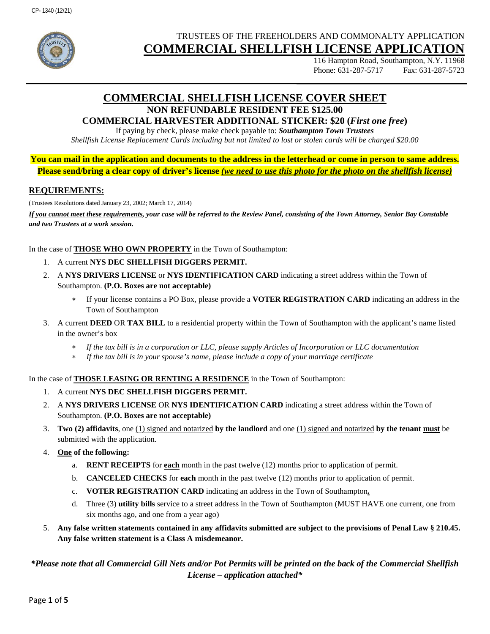

# TRUSTEES OF THE FREEHOLDERS AND COMMONALTY APPLICATION **COMMERCIAL SHELLFISH LICENSE APPLICATION**

116 Hampton Road, Southampton, N.Y. 11968 Phone: 631-287-5717 Fax: 631-287-5723

# **COMMERCIAL SHELLFISH LICENSE COVER SHEET NON REFUNDABLE RESIDENT FEE \$125.00**

### **COMMERCIAL HARVESTER ADDITIONAL STICKER: \$20 (***First one free***)**

If paying by check, please make check payable to: *Southampton Town Trustees Shellfish License Replacement Cards including but not limited to lost or stolen cards will be charged \$20.00*

**You can mail in the application and documents to the address in the letterhead or come in person to same address. Please send/bring a clear copy of driver's license** *(we need to use this photo for the photo on the shellfish license)*

#### **REQUIREMENTS:**

(Trustees Resolutions dated January 23, 2002; March 17, 2014)

*If you cannot meet these requirements, your case will be referred to the Review Panel, consisting of the Town Attorney, Senior Bay Constable and two Trustees at a work session.*

In the case of **THOSE WHO OWN PROPERTY** in the Town of Southampton:

- 1. A current **NYS DEC SHELLFISH DIGGERS PERMIT.**
- 2. A **NYS DRIVERS LICENSE** or **NYS IDENTIFICATION CARD** indicating a street address within the Town of Southampton. **(P.O. Boxes are not acceptable)**
	- If your license contains a PO Box, please provide a **VOTER REGISTRATION CARD** indicating an address in the Town of Southampton
- 3. A current **DEED** OR **TAX BILL** to a residential property within the Town of Southampton with the applicant's name listed in the owner's box
	- *If the tax bill is in a corporation or LLC, please supply Articles of Incorporation or LLC documentation*
	- ∗ *If the tax bill is in your spouse's name, please include a copy of your marriage certificate*

In the case of **THOSE LEASING OR RENTING A RESIDENCE** in the Town of Southampton:

- 1. A current **NYS DEC SHELLFISH DIGGERS PERMIT.**
- 2. A **NYS DRIVERS LICENSE** OR **NYS IDENTIFICATION CARD** indicating a street address within the Town of Southampton. **(P.O. Boxes are not acceptable)**
- 3. **Two (2) affidavits**, one (1) signed and notarized **by the landlord** and one (1) signed and notarized **by the tenant must** be submitted with the application.
- 4. **One of the following:**
	- a. **RENT RECEIPTS** for **each** month in the past twelve (12) months prior to application of permit.
	- b. **CANCELED CHECKS** for **each** month in the past twelve (12) months prior to application of permit.
	- c. **VOTER REGISTRATION CARD** indicating an address in the Town of Southampton**.**
	- d. Three (3) **utility bills** service to a street address in the Town of Southampton (MUST HAVE one current, one from six months ago, and one from a year ago)
- 5. **Any false written statements contained in any affidavits submitted are subject to the provisions of Penal Law § 210.45. Any false written statement is a Class A misdemeanor.**

*\*Please note that all Commercial Gill Nets and/or Pot Permits will be printed on the back of the Commercial Shellfish License – application attached\**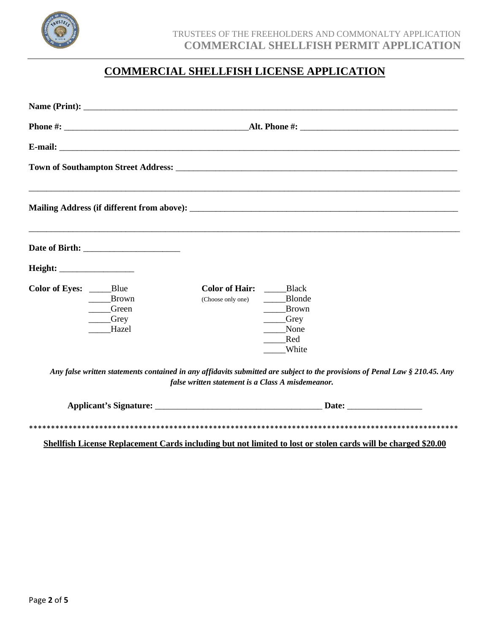

# **COMMERCIAL SHELLFISH LICENSE APPLICATION**

| Color of Eyes: _____Blue | <b>Brown</b><br>Green<br><b>Crey</b><br>Hazel | <b>Color of Hair:</b> Black<br>Blonde<br>(Choose only one)<br><b>Brown</b><br>Grey<br>None<br>Red<br>White                                                                           |  |  |  |
|--------------------------|-----------------------------------------------|--------------------------------------------------------------------------------------------------------------------------------------------------------------------------------------|--|--|--|
|                          |                                               | Any false written statements contained in any affidavits submitted are subject to the provisions of Penal Law $\S 210.45$ . Any<br>false written statement is a Class A misdemeanor. |  |  |  |

| <b>Applicant's Signature:</b> | <b>Date:</b> |
|-------------------------------|--------------|
|                               |              |

**Shellfish License Replacement Cards including but not limited to lost or stolen cards will be charged \$20.00**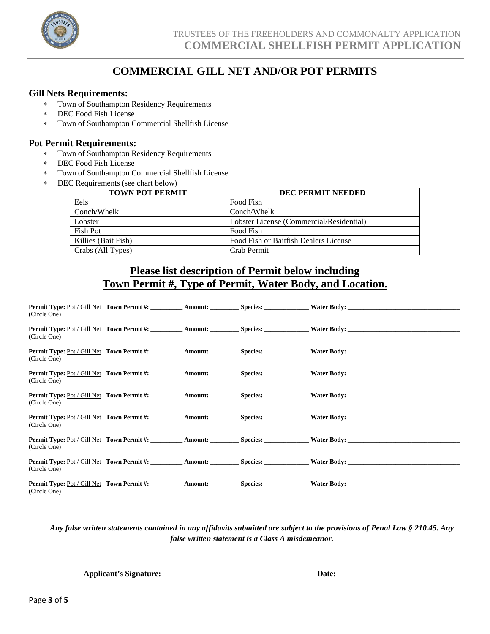

# **COMMERCIAL GILL NET AND/OR POT PERMITS**

#### **Gill Nets Requirements:**

- ∗ Town of Southampton Residency Requirements
- ∗ DEC Food Fish License
- ∗ Town of Southampton Commercial Shellfish License

#### **Pot Permit Requirements:**

- ∗ Town of Southampton Residency Requirements
- ∗ DEC Food Fish License
- Town of Southampton Commercial Shellfish License
- ∗ DEC Requirements (see chart below)

| <b>TOWN POT PERMIT</b> | <b>DEC PERMIT NEEDED</b>                 |
|------------------------|------------------------------------------|
| Eels                   | Food Fish                                |
| Conch/Whelk            | Conch/Whelk                              |
| Lobster                | Lobster License (Commercial/Residential) |
| Fish Pot               | Food Fish                                |
| Killies (Bait Fish)    | Food Fish or Baitfish Dealers License    |
| Crabs (All Types)      | Crab Permit                              |

# **Please list description of Permit below including Town Permit #, Type of Permit, Water Body, and Location.**

|              |  | <b>Permit Type:</b> Pot / Gill Net <b>Town Permit #: Amount: Species: Water Body: Water Body:</b>                                                                                                              |
|--------------|--|----------------------------------------------------------------------------------------------------------------------------------------------------------------------------------------------------------------|
| (Circle One) |  |                                                                                                                                                                                                                |
| (Circle One) |  |                                                                                                                                                                                                                |
|              |  |                                                                                                                                                                                                                |
| (Circle One) |  |                                                                                                                                                                                                                |
|              |  |                                                                                                                                                                                                                |
| (Circle One) |  |                                                                                                                                                                                                                |
|              |  |                                                                                                                                                                                                                |
| (Circle One) |  |                                                                                                                                                                                                                |
|              |  |                                                                                                                                                                                                                |
| (Circle One) |  | <b>Permit Type:</b> Pot / Gill Net <b>Town Permit #: Amount: Amount: Species: Water Body: Water Body:</b>                                                                                                      |
|              |  |                                                                                                                                                                                                                |
| (Circle One) |  | <b>Permit Type:</b> Pot / Gill Net Town Permit #: <b>Amount: Amount:</b> Species: <b>Water Body: Water Body:</b>                                                                                               |
|              |  |                                                                                                                                                                                                                |
| (Circle One) |  | <b>Permit Type:</b> Pot / Gill Net Town Permit #: <b>Amount: Amount:</b> Species: <b>Water Body:</b>                                                                                                           |
|              |  |                                                                                                                                                                                                                |
| (Circle One) |  | <b>Permit Type:</b> Pot / Gill Net <b>Town Permit #: Amount: Amount: Species: Water Body: Amount: National Properties: Water Body: Water Body: Water Body: Water Body: Water Body: Water Body: Water Body:</b> |

*Any false written statements contained in any affidavits submitted are subject to the provisions of Penal Law § 210.45. Any false written statement is a Class A misdemeanor.*

**Applicant's Signature:** \_\_\_\_\_\_\_\_\_\_\_\_\_\_\_\_\_\_\_\_\_\_\_\_\_\_\_\_\_\_\_\_\_\_\_\_\_\_ **Date:** \_\_\_\_\_\_\_\_\_\_\_\_\_\_\_\_\_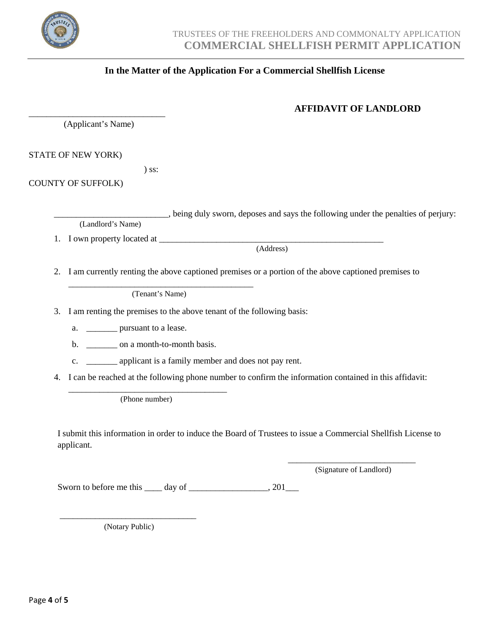

## **In the Matter of the Application For a Commercial Shellfish License**

# **AFFIDAVIT OF LANDLORD**

\_\_\_\_\_\_\_\_\_\_\_\_\_\_\_\_\_\_\_\_\_\_\_\_\_\_\_\_\_\_\_ (Applicant's Name)

STATE OF NEW YORK)

) ss:

COUNTY OF SUFFOLK)

\_\_\_\_\_\_\_\_\_\_\_\_\_\_\_\_\_\_\_\_\_\_\_\_\_\_, being duly sworn, deposes and says the following under the penalties of perjury: (Landlord's Name)

1. I own property located at \_\_\_\_\_\_\_\_\_\_\_\_\_\_\_\_\_\_\_\_\_\_\_\_\_\_\_\_\_\_\_\_\_\_\_\_\_\_\_\_\_\_\_\_\_\_\_\_\_\_\_

(Address)

2. I am currently renting the above captioned premises or a portion of the above captioned premises to

\_\_\_\_\_\_\_\_\_\_\_\_\_\_\_\_\_\_\_\_\_\_\_\_\_\_\_\_\_\_\_\_\_\_\_\_\_\_\_\_\_\_ (Tenant's Name)

3. I am renting the premises to the above tenant of the following basis:

a. **\_\_\_\_\_** pursuant to a lease.

b. \_\_\_\_\_\_\_\_\_ on a month-to-month basis.

- c. \_\_\_\_\_\_\_ applicant is a family member and does not pay rent.
- 4. I can be reached at the following phone number to confirm the information contained in this affidavit:

\_\_\_\_\_\_\_\_\_\_\_\_\_\_\_\_\_\_\_\_\_\_\_\_\_\_\_\_\_\_\_\_\_\_\_\_ (Phone number)

I submit this information in order to induce the Board of Trustees to issue a Commercial Shellfish License to applicant.

> \_\_\_\_\_\_\_\_\_\_\_\_\_\_\_\_\_\_\_\_\_\_\_\_\_\_\_\_\_ (Signature of Landlord)

Sworn to before me this  $\_\_\_$  day of  $\_\_\_\_\_\_\_\_$ , 201 $\_\_\_\_\_$ 

\_\_\_\_\_\_\_\_\_\_\_\_\_\_\_\_\_\_\_\_\_\_\_\_\_\_\_\_\_\_\_ (Notary Public)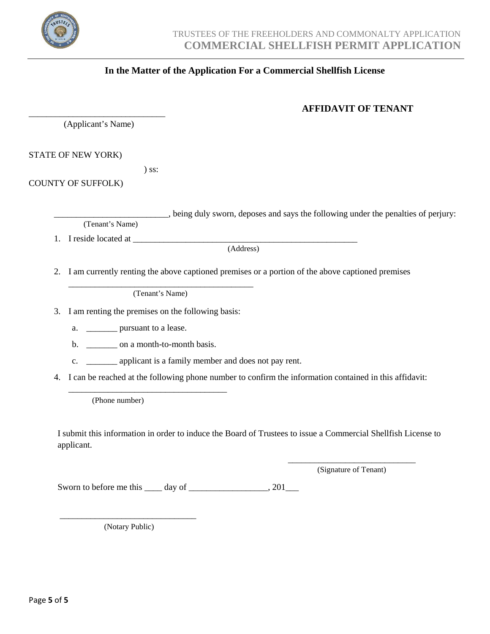

## **In the Matter of the Application For a Commercial Shellfish License**

# **AFFIDAVIT OF TENANT**

\_\_\_\_\_\_\_\_\_\_\_\_\_\_\_\_\_\_\_\_\_\_\_\_\_\_\_\_\_\_\_ (Applicant's Name)

STATE OF NEW YORK)

) ss:

COUNTY OF SUFFOLK)

\_\_\_\_\_\_\_\_\_\_\_\_\_\_\_\_\_\_\_\_\_\_\_\_\_\_, being duly sworn, deposes and says the following under the penalties of perjury: (Tenant's Name)

1. I reside located at \_\_\_\_\_\_\_\_\_\_\_\_\_\_\_\_\_\_\_\_\_\_\_\_\_\_\_\_\_\_\_\_\_\_\_\_\_\_\_\_\_\_\_\_\_\_\_\_\_\_\_

(Address)

2. I am currently renting the above captioned premises or a portion of the above captioned premises

\_\_\_\_\_\_\_\_\_\_\_\_\_\_\_\_\_\_\_\_\_\_\_\_\_\_\_\_\_\_\_\_\_\_\_\_\_\_\_\_\_\_ (Tenant's Name)

3. I am renting the premises on the following basis:

a. \_\_\_\_\_\_\_\_\_\_ pursuant to a lease.

b. \_\_\_\_\_\_\_\_\_ on a month-to-month basis.

\_\_\_\_\_\_\_\_\_\_\_\_\_\_\_\_\_\_\_\_\_\_\_\_\_\_\_\_\_\_\_\_\_\_\_\_

- c. \_\_\_\_\_\_\_ applicant is a family member and does not pay rent.
- 4. I can be reached at the following phone number to confirm the information contained in this affidavit:

(Phone number)

I submit this information in order to induce the Board of Trustees to issue a Commercial Shellfish License to applicant.

> \_\_\_\_\_\_\_\_\_\_\_\_\_\_\_\_\_\_\_\_\_\_\_\_\_\_\_\_\_ (Signature of Tenant)

Sworn to before me this  $\_\_\_$  day of  $\_\_\_\_\_\_\_\_$ , 201 $\_\_\_\_\_$ 

\_\_\_\_\_\_\_\_\_\_\_\_\_\_\_\_\_\_\_\_\_\_\_\_\_\_\_\_\_\_\_ (Notary Public)